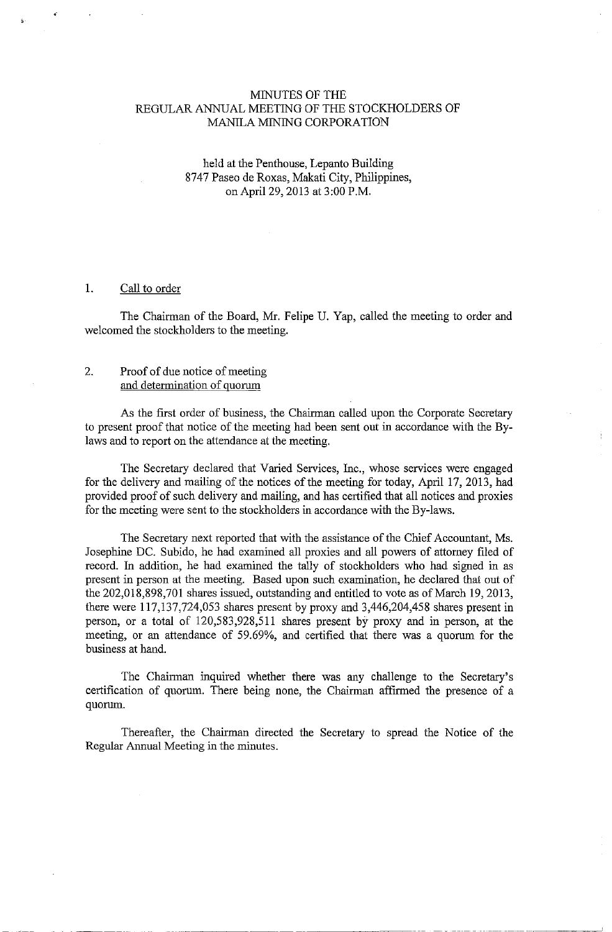## MINUTES OF THE REGULAR ANNUAL MEETING OF THE STOCKHOLDERS OF MANILA MINING CORPORATION

# held at the Penthouse, Lepanto Building 8747 Paseo de Roxas, Makati City, Philippines, on April 29, 2013 at 3:00 P.M.

## 1. Call to order

.-

The Chairman of the Board, Mr. Felipe U. Yap, called the meeting to order and welcomed the stockholders to the meeting.

### 2. Proof of due notice of meeting and determination of quorum

As the first order of business, the Chairman called upon the Corporate Secretary to present proof that notice of the meeting had been sent out in accordance with the Bylaws and to report on the attendance at the meeting.

The Secretary declared that Varied Services, Inc., whose services were engaged for the delivery and mailing of the notices of the meeting for today, April 17, 2013, had provided proof of such delivery and mailing, and has certified that all notices and proxies for the meeting were sent to the stockholders in accordance with the By-laws.

The Secretary next reported that with the assistance of the Chief Accountant, Ms. Josephine DC. Subido, he had examined all proxies and all powers of attorney filed of record. In addition, he had examined the tally of stockholders who had signed in as present in person at the meeting. Based upon such examination, he declared that out of the 202,018,898,701 shares issued, outstanding and entitled to vote as of March 19,2013, there were 117,137,724,053 shares present by proxy and 3,446,204,458 shares present in person, or a total of 120,583,928,511 shares present by proxy and in person, at the meeting, or an attendance of 59.69%, and certified that there was a quorum for the business at hand.

The Chairman inquired whether there was any challenge to the Secretary's certification of quorum. There being none, the Chairman affirmed the presence of a quorum.

Thereafter, the Chairman directed the Secretary to spread the Notice of the Regular Annual Meeting in the minutes.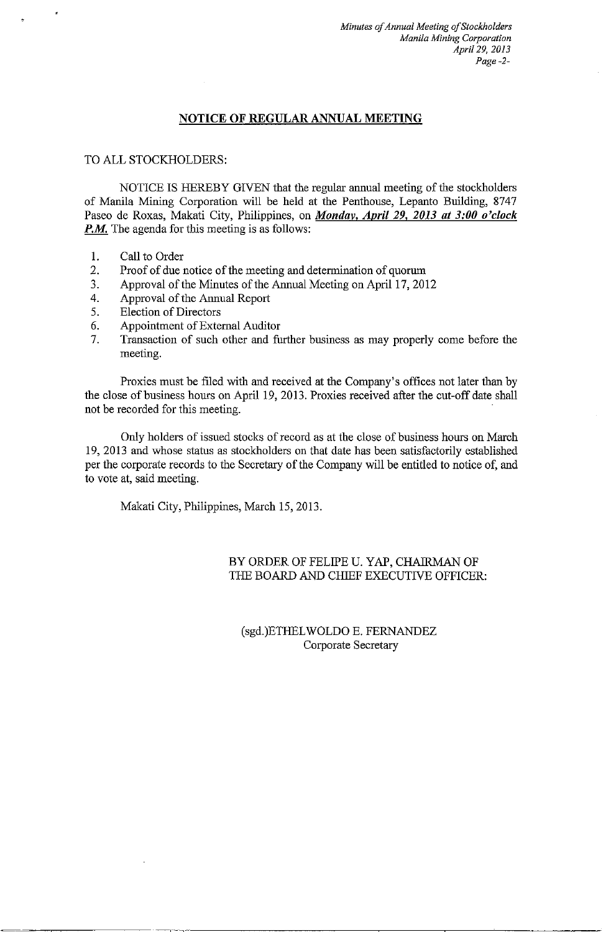## **NOTICE OF REGULAR ANNUAL MEETING**

## TO ALL STOCKHOLDERS:

NOTICE IS HEREBY GIVEN that the regular annual meeting of the stockholders of Manila Mining Corporation will be held at the Penthouse, Lepanto Building, 8747 Paseo de Roxas, Makati City, Philippines, on *Monday, April 29, 2013 at 3:00 o'clock P.M.* The agenda for this meeting is as follows:

- 1. Call to Order<br>2. Proof of due
- 2. Proof of due notice of the meeting and determination of quorum
- 3. Approval of the Minutes of the Annual Meeting on April 17, 2012<br>4. Approval of the Annual Report
- 4. Approval of the Annual Report<br>5. Election of Directors
- 5. Election of Directors<br>6. Appointment of Exte
- 6. Appointment of External Auditor
- 7. Transaction of such other and further business as may properly come before the meeting.

Proxies must be filed with and received at the Company's offices not later than by the close of business hours on April 19, 2013. Proxies received after the cut-off date shall not be recorded for this meeting.

Only holders of issued stocks of record as at the close of business hours on March 19, 2013 and whose status as stockholders on that date has been satisfactorily established per the corporate records to the Secretary of the Company will be entitled to notice of, and to vote at, said meeting.

Makati City, Philippines, March 15, 2013.

# BY ORDER OF FELIPE U. YAP, CHAIRMAN OF THE BOARD AND CHIEF EXECUTIVE OFFICER:

(sgd.)ETHELWOLDO E. FERNANDEZ Corporate Secretary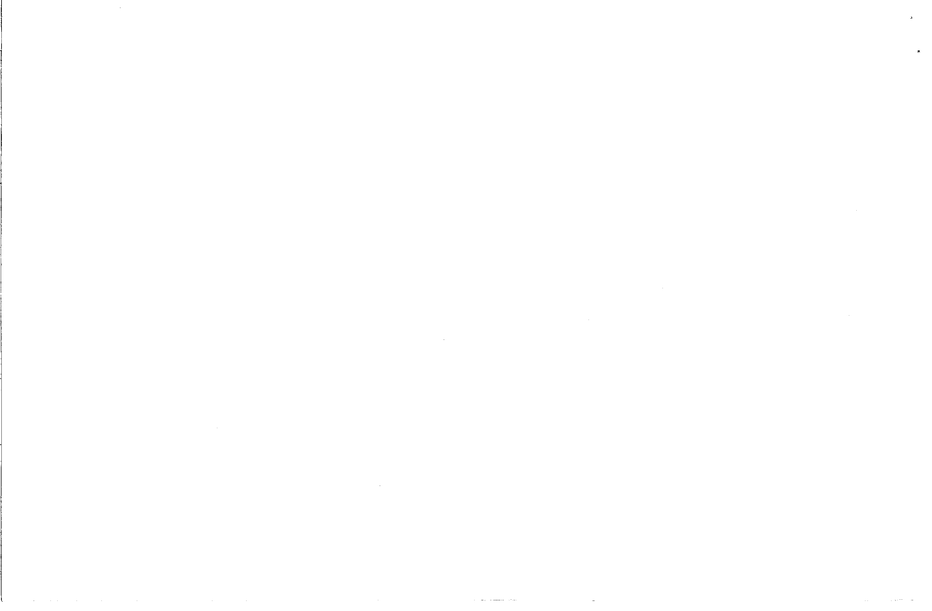$\mathcal{L}^{\mathcal{L}}(\mathcal{L}^{\mathcal{L}})$  and  $\mathcal{L}^{\mathcal{L}}(\mathcal{L}^{\mathcal{L}})$  . The contribution of  $\mathcal{L}^{\mathcal{L}}$ 

 $\mathcal{L}(\mathcal{L}(\mathcal{L}(\mathcal{L}(\mathcal{L}(\mathcal{L}(\mathcal{L}(\mathcal{L}(\mathcal{L}(\mathcal{L}(\mathcal{L}(\mathcal{L}(\mathcal{L}(\mathcal{L}(\mathcal{L}(\mathcal{L}(\mathcal{L}(\mathcal{L}(\mathcal{L}(\mathcal{L}(\mathcal{L}(\mathcal{L}(\mathcal{L}(\mathcal{L}(\mathcal{L}(\mathcal{L}(\mathcal{L}(\mathcal{L}(\mathcal{L}(\mathcal{L}(\mathcal{L}(\mathcal{L}(\mathcal{L}(\mathcal{L}(\mathcal{L}(\mathcal{L}(\mathcal{$ 

 $\hat{f}$  ,  $\hat{f}$  ,  $\hat{f}$ 

 $\mathbf{a}^{(i)}$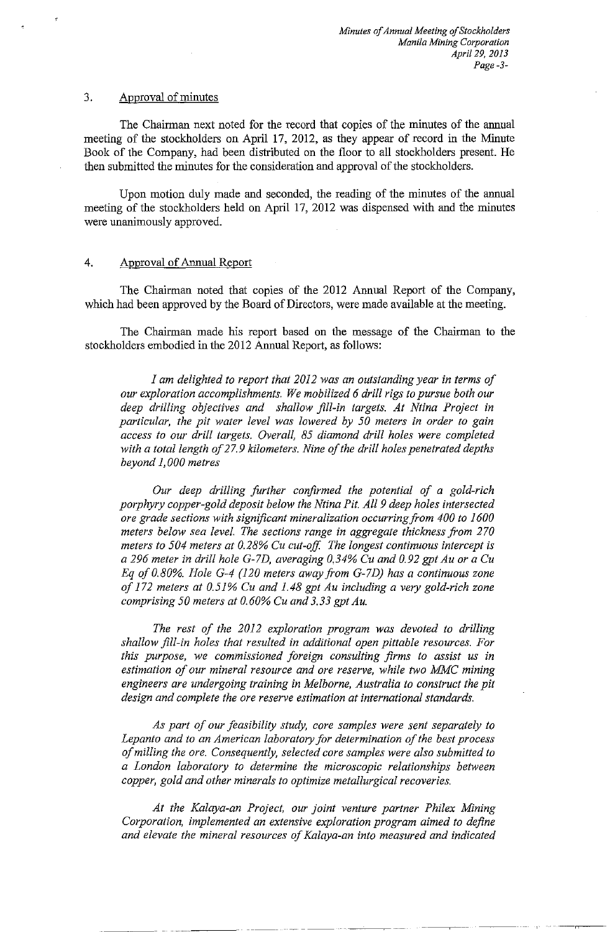#### 3. Approval of minutes

The Chairman next noted for the record that copies of the minutes of the annual meeting of the stockholders on April 17, 2012, as they appear of record in the Minute Book of the Company, had been distributed on the floor to all stockholders present. He then submitted the minutes for the consideration and approval of the stockholders.

Upon motion duly made and seconded, the reading of the minutes of the annual meeting of the stockholders held on April 17, 2012 was dispensed with and the minutes were unanimously approved.

### 4. Approval of Annual Report

The Chairman noted that copies of the 2012 Annual Report of the Company, which had been approved by the Board of Directors, were made available at the meeting.

The Chairman made his report based on the message of the Chairman to the stockholders embodied in the 2012 Annual Report, as follows:

*I am delighted to report that 2012 was an outstanding year in terms of our exploration accomplishments. We mobilized 6 drill rigs to pursue both our deep drilling objectives and shallow fill-in targets. At Ntina Project in particular, the pit water level was lowered by 50 meters in order to gain access to our drill targets. Overall, 85 diamond drill holes were completed with a total length of27.9 kilometers. Nine of the drill holes penetrated depths beyond I, 000 metres* 

*Our deep drilling further confirmed the potential of a gold-rich porphyry copper-gold deposit below the Ntina Pit. All 9 deep holes intersected ore grade sections with significant mineralization occurring from 400 to 1600 meters below sea level. The sections range in aggregate thickness from 270 meters to 504 meters at 0.28% Cu cut-off The longest continuous intercept is a 296 meter in drill hole G-7D, averaging 0,34% Cu and 0.92 gpt Au or a Cu Eq of0.80%. Hole G-4 (120 meters away from G-7D) has a continuous zone of 172 meters at 0.51% Cu and 1.48 gpt Au including a very gold-rich zone comprising 50 meters at 0.60% Cu and 3.33 gpt Au.* 

*The rest of the 2012 exploration program was devoted to drilling shallow fill-in holes that resulted in additional open pittable resources. For this purpose, we commissioned foreign consulting firms to assist us in estimation of our mineral resource and ore reserve, while two MMC mining*  engineers are undergoing training in Melborne, Australia to construct the pit *design and complete the ore reserve estimation at international standards.* 

*As part of our feasibility study, core samples were sent separately to Lepanto and to an American laboratory for determination of the best process of milling the ore. Consequently, selected core samples were also submitted to a London laboratory to determine the microscopic relationships between copper, gold and other minerals to optimize metallurgical recoveries.* 

*At the Kalaya-an Project, our joint venture partner Phi/ex Mining Corporation, implemented an extensive exploration program aimed to define and elevate the mineral resources of Kalaya-an into measured and indicated*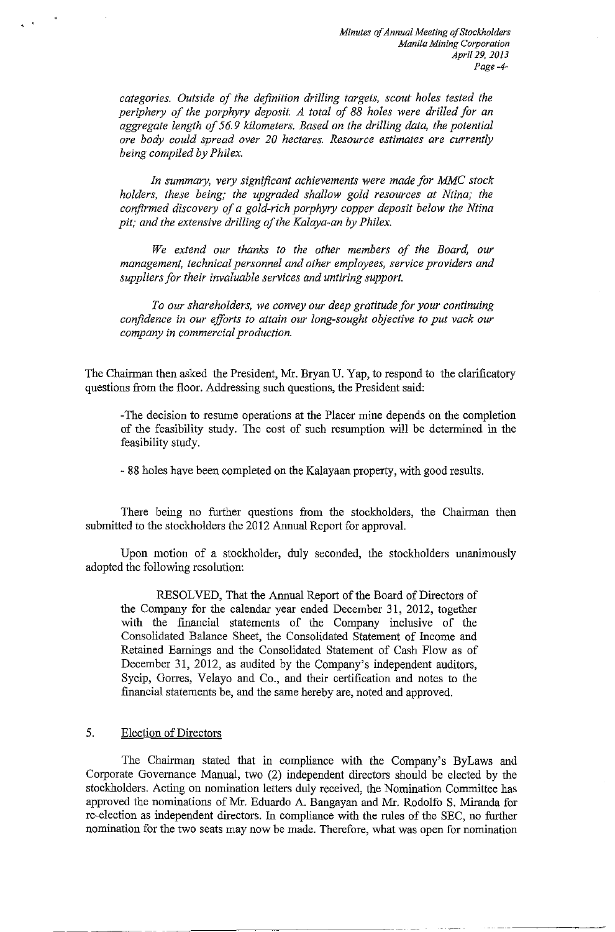*categories. Outside of the definition drilling targets, scout holes tested the periphery of the porphyry deposit. A total of 88 holes were drilled for an aggregate length of 56.9 kilometers. Based on the drilling data, the potential ore body could spread over 20 hectares. Resource estimates are currently being compiled by Philex.* 

*In summary, very significant achievements were made for MMC stock holders, these being; the upgraded shallow gold resources at Ntina; the confirmed discovery of a gold-rich porphyry copper deposit below the Ntina pit; and the extensive drilling of the Kalaya-an by Philex.* 

*We extend our thanks to the other members of the Board, our management, technical personnel and other employees, service providers and suppliers for their invaluable services and untiring support.* 

*To our shareholders, we convey our deep gratitude for your continuing corifidence in our efforts to attain our long-sought objective to put vack our company in commercial production.* 

The Chairman then asked the President, Mr. Bryan U. Yap, to respond to the clarificatory questions from the floor. Addressing such questions, the President said:

-The decision to resume operations at the Placer mine depends on the completion of the feasibility study. The cost of such resumption will be determined in the feasibility study.

- 88 holes have been completed on the Kalayaan property, with good results.

There being no further questions from the stockholders, the Chairman then submitted to the stockholders the 2012 Annual Report for approval.

Upon motion of a stockholder, duly seconded, the stockholders unanimously adopted the following resolution:

RESOLVED, That the Annual Report of the Board of Directors of the Company for the calendar year ended December 31, 2012, together with the fmancial statements of the Company inclusive of the Consolidated Balance Sheet, the Consolidated Statement of Income and Retained Earnings and the Consolidated Statement of Cash Flow as of December 31, 2012, as audited by the Company's independent auditors, Sycip, Gorres, Velayo and Co., and their certification and notes to the fmancial statements be, and the same hereby are, noted and approved.

### 5. Election of Directors

The Chairman stated that in compliance with the Company's ByLaws and Corporate Governance Manual, two (2) independent directors should be elected by the stockholders. Acting on nomination letters duly received, the Nomination Committee has approved the nominations of Mr. Eduardo A. Bangayan and Mr. Rodolfo S. Miranda for re-election as independent directors. In compliance with the rules of the SEC, no further nomination for the two seats may now be made. Therefore, what was open for nomination